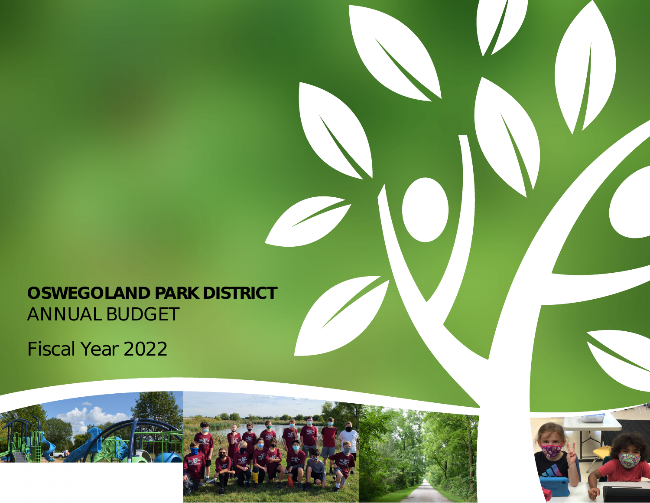## **OSWEGOLAND PARK DISTRICT**  ANNUAL BUDGET

Fiscal Year 2022



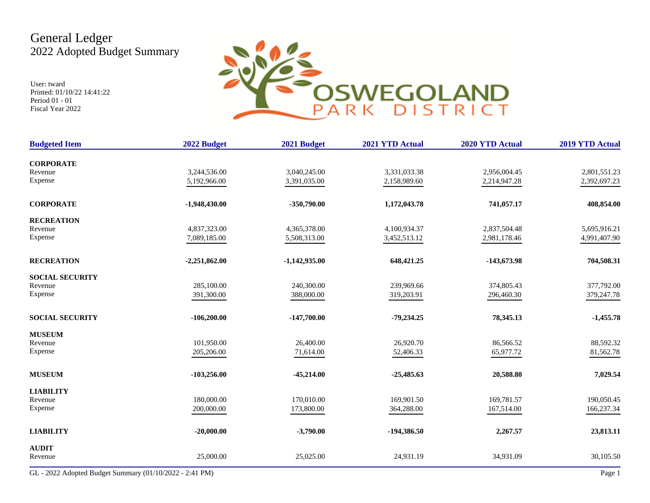## General Ledger 2022 Adopted Budget Summary

User: tward Printed: 01/10/22 14:41:22 Period 01 - 01 Fiscal Year 2022



| <b>Budgeted Item</b>   | 2022 Budget     | 2021 Budget     | 2021 YTD Actual | 2020 YTD Actual | 2019 YTD Actual |
|------------------------|-----------------|-----------------|-----------------|-----------------|-----------------|
|                        |                 |                 |                 |                 |                 |
| <b>CORPORATE</b>       |                 |                 |                 |                 |                 |
| Revenue                | 3,244,536.00    | 3,040,245.00    | 3,331,033.38    | 2,956,004.45    | 2,801,551.23    |
| Expense                | 5,192,966.00    | 3,391,035.00    | 2,158,989.60    | 2,214,947.28    | 2,392,697.23    |
| <b>CORPORATE</b>       | $-1,948,430.00$ | $-350,790.00$   | 1,172,043.78    | 741,057.17      | 408,854.00      |
| <b>RECREATION</b>      |                 |                 |                 |                 |                 |
| Revenue                | 4,837,323,00    | 4,365,378.00    | 4,100,934.37    | 2,837,504.48    | 5,695,916.21    |
| Expense                | 7,089,185.00    | 5,508,313.00    | 3,452,513.12    | 2,981,178.46    | 4,991,407.90    |
| <b>RECREATION</b>      | $-2,251,862.00$ | $-1,142,935.00$ | 648, 421.25     | $-143,673.98$   | 704,508.31      |
| <b>SOCIAL SECURITY</b> |                 |                 |                 |                 |                 |
| Revenue                | 285,100.00      | 240,300.00      | 239,969.66      | 374,805.43      | 377,792.00      |
| Expense                | 391,300.00      | 388,000.00      | 319,203.91      | 296,460.30      | 379,247.78      |
| <b>SOCIAL SECURITY</b> | $-106,200.00$   | $-147,700.00$   | $-79,234.25$    | 78,345.13       | $-1,455.78$     |
| <b>MUSEUM</b>          |                 |                 |                 |                 |                 |
| Revenue                | 101,950.00      | 26,400.00       | 26,920.70       | 86,566.52       | 88,592.32       |
| Expense                | 205,206.00      | 71,614.00       | 52,406.33       | 65,977.72       | 81,562.78       |
| <b>MUSEUM</b>          | $-103,256.00$   | $-45,214.00$    | $-25,485.63$    | 20,588.80       | 7,029.54        |
| <b>LIABILITY</b>       |                 |                 |                 |                 |                 |
| Revenue                | 180,000.00      | 170,010.00      | 169,901.50      | 169,781.57      | 190,050.45      |
| Expense                | 200,000.00      | 173,800.00      | 364,288.00      | 167,514.00      | 166,237.34      |
| <b>LIABILITY</b>       | $-20,000.00$    | $-3,790.00$     | -194,386.50     | 2,267.57        | 23,813.11       |
| <b>AUDIT</b>           |                 |                 |                 |                 |                 |
| Revenue                | 25,000.00       | 25,025.00       | 24,931.19       | 34,931.09       | 30,105.50       |

GL - 2022 Adopted Budget Summary (01/10/2022 - 2:41 PM) Page 1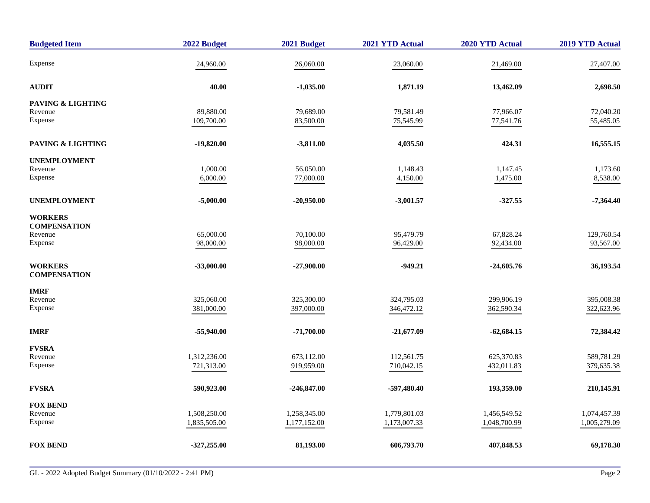| <b>Budgeted Item</b>                  | 2022 Budget   | 2021 Budget   | 2021 YTD Actual | 2020 YTD Actual | 2019 YTD Actual |
|---------------------------------------|---------------|---------------|-----------------|-----------------|-----------------|
| Expense                               | 24,960.00     | 26,060.00     | 23,060.00       | 21,469.00       | 27,407.00       |
| <b>AUDIT</b>                          | 40.00         | $-1,035.00$   | 1,871.19        | 13,462.09       | 2,698.50        |
| PAVING & LIGHTING                     |               |               |                 |                 |                 |
| Revenue                               | 89,880.00     | 79,689.00     | 79,581.49       | 77,966.07       | 72,040.20       |
| Expense                               | 109,700.00    | 83,500.00     | 75,545.99       | 77,541.76       | 55,485.05       |
| PAVING & LIGHTING                     | $-19,820.00$  | $-3,811.00$   | 4,035.50        | 424.31          | 16,555.15       |
| <b>UNEMPLOYMENT</b>                   |               |               |                 |                 |                 |
| Revenue                               | 1,000.00      | 56,050.00     | 1,148.43        | 1,147.45        | 1,173.60        |
| Expense                               | 6,000.00      | 77,000.00     | 4,150.00        | 1,475.00        | 8,538.00        |
| <b>UNEMPLOYMENT</b>                   | $-5,000.00$   | $-20,950.00$  | $-3,001.57$     | $-327.55$       | $-7,364.40$     |
| <b>WORKERS</b><br><b>COMPENSATION</b> |               |               |                 |                 |                 |
| Revenue                               | 65,000.00     | 70,100.00     | 95,479.79       | 67,828.24       | 129,760.54      |
| Expense                               | 98,000.00     | 98,000.00     | 96,429.00       | 92,434.00       | 93,567.00       |
| <b>WORKERS</b><br><b>COMPENSATION</b> | $-33,000.00$  | $-27,900.00$  | $-949.21$       | $-24,605.76$    | 36,193.54       |
| <b>IMRF</b>                           |               |               |                 |                 |                 |
| Revenue                               | 325,060.00    | 325,300.00    | 324,795.03      | 299,906.19      | 395,008.38      |
| Expense                               | 381,000.00    | 397,000.00    | 346,472.12      | 362,590.34      | 322,623.96      |
| <b>IMRF</b>                           | $-55,940.00$  | -71,700.00    | $-21,677.09$    | $-62,684.15$    | 72,384.42       |
| <b>FVSRA</b>                          |               |               |                 |                 |                 |
| Revenue                               | 1,312,236.00  | 673,112.00    | 112,561.75      | 625,370.83      | 589,781.29      |
| Expense                               | 721,313.00    | 919,959.00    | 710,042.15      | 432,011.83      | 379,635.38      |
| <b>FVSRA</b>                          | 590,923.00    | $-246,847.00$ | -597,480.40     | 193,359.00      | 210,145.91      |
| <b>FOX BEND</b>                       |               |               |                 |                 |                 |
| Revenue                               | 1,508,250.00  | 1,258,345.00  | 1,779,801.03    | 1,456,549.52    | 1,074,457.39    |
| Expense                               | 1,835,505.00  | 1,177,152.00  | 1,173,007.33    | 1,048,700.99    | 1,005,279.09    |
| <b>FOX BEND</b>                       | $-327,255.00$ | 81,193.00     | 606,793.70      | 407,848.53      | 69,178.30       |